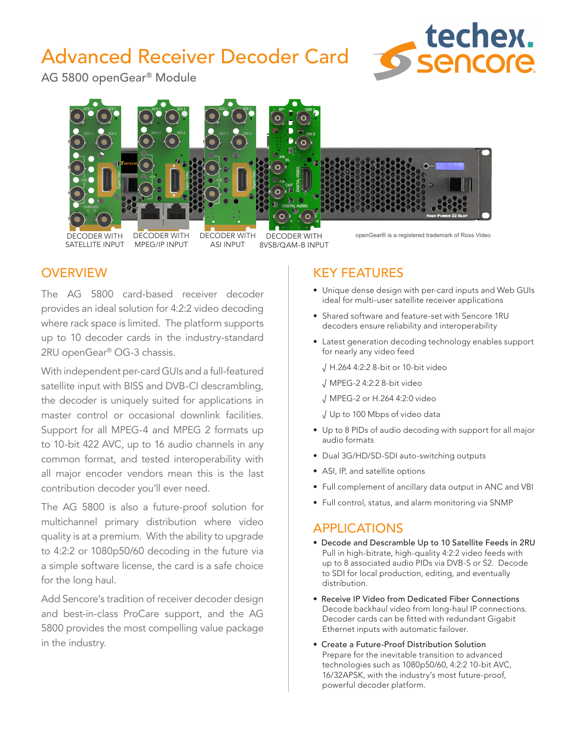# Advanced Receiver Decoder Card



AG 5800 openGear® Module



# **OVERVIEW**

The AG 5800 card-based receiver decoder provides an ideal solution for 4:2:2 video decoding where rack space is limited. The platform supports up to 10 decoder cards in the industry-standard 2RU openGear® OG-3 chassis.

With independent per-card GUIs and a full-featured satellite input with BISS and DVB-CI descrambling, the decoder is uniquely suited for applications in master control or occasional downlink facilities. Support for all MPEG-4 and MPEG 2 formats up to 10-bit 422 AVC, up to 16 audio channels in any common format, and tested interoperability with all major encoder vendors mean this is the last contribution decoder you'll ever need.

The AG 5800 is also a future-proof solution for multichannel primary distribution where video quality is at a premium. With the ability to upgrade to 4:2:2 or 1080p50/60 decoding in the future via a simple software license, the card is a safe choice for the long haul.

Add Sencore's tradition of receiver decoder design and best-in-class ProCare support, and the AG 5800 provides the most compelling value package in the industry.

# KEY FEATURES

- Unique dense design with per-card inputs and Web GUIs ideal for multi-user satellite receiver applications
- Shared software and feature-set with Sencore 1RU decoders ensure reliability and interoperability
- Latest generation decoding technology enables support for nearly any video feed
	- √ H.264 4:2:2 8-bit or 10-bit video
	- √ MPEG-2 4:2:2 8-bit video
	- √ MPEG-2 or H.264 4:2:0 video
	- √ Up to 100 Mbps of video data
- • Up to 8 PIDs of audio decoding with support for all major audio formats
- Dual 3G/HD/SD-SDI auto-switching outputs
- ASI, IP, and satellite options
- Full complement of ancillary data output in ANC and VBI
- Full control, status, and alarm monitoring via SNMP

# APPLICATIONS

- Decode and Descramble Up to 10 Satellite Feeds in 2RU Pull in high-bitrate, high-quality 4:2:2 video feeds with up to 8 associated audio PIDs via DVB-S or S2. Decode to SDI for local production, editing, and eventually distribution.
- Receive IP Video from Dedicated Fiber Connections Decode backhaul video from long-haul IP connections. Decoder cards can be fitted with redundant Gigabit Ethernet inputs with automatic failover.
- Create a Future-Proof Distribution Solution Prepare for the inevitable transition to advanced technologies such as 1080p50/60, 4:2:2 10-bit AVC, 16/32APSK, with the industry's most future-proof, powerful decoder platform.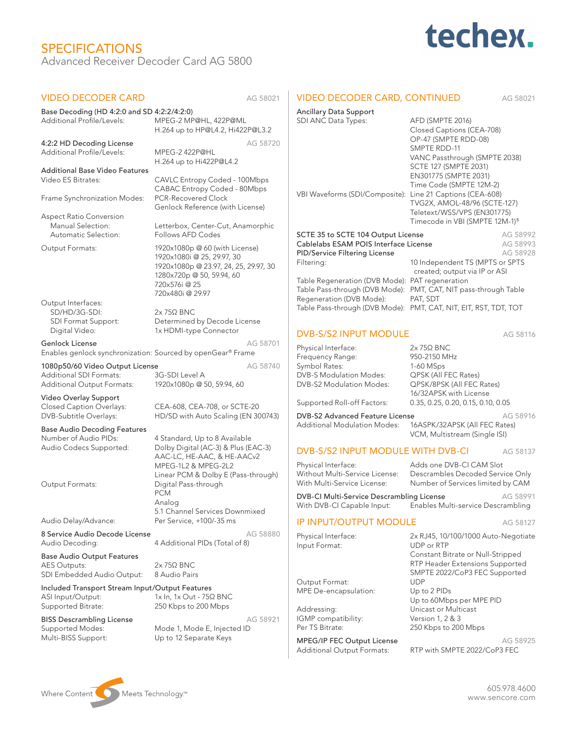# SPECIFICATIONS Advanced Receiver Decoder Card AG 5800



| <b>VIDEO DECODER CARD</b>                                   | AG 58021                                                            | <b>VIDEO DECODER CARD, CONTINUED</b>                                                        |                                                            | AG 58021             |
|-------------------------------------------------------------|---------------------------------------------------------------------|---------------------------------------------------------------------------------------------|------------------------------------------------------------|----------------------|
| Base Decoding (HD 4:2:0 and SD 4:2:2/4:2:0)                 |                                                                     | <b>Ancillary Data Support</b>                                                               |                                                            |                      |
| Additional Profile/Levels:                                  | MPEG-2 MP@HL, 422P@ML                                               | SDI ANC Data Types:                                                                         | AFD (SMPTE 2016)                                           |                      |
|                                                             | H.264 up to HP@L4.2, Hi422P@L3.2                                    |                                                                                             | Closed Captions (CEA-708)                                  |                      |
| 4:2:2 HD Decoding License                                   | AG 58720                                                            |                                                                                             | OP-47 (SMPTE RDD-08)<br>SMPTE RDD-11                       |                      |
| Additional Profile/Levels:                                  | MPEG-2 422P@HL                                                      |                                                                                             | VANC Passthrough (SMPTE 2038)                              |                      |
|                                                             | H.264 up to Hi422P@L4.2                                             |                                                                                             | SCTE 127 (SMPTE 2031)                                      |                      |
| <b>Additional Base Video Features</b><br>Video ES Bitrates: | CAVLC Entropy Coded - 100Mbps                                       |                                                                                             | EN301775 (SMPTE 2031)                                      |                      |
|                                                             | CABAC Entropy Coded - 80Mbps                                        |                                                                                             | Time Code (SMPTE 12M-2)                                    |                      |
| Frame Synchronization Modes:                                | PCR-Recovered Clock                                                 | VBI Waveforms (SDI/Composite):                                                              | Line 21 Captions (CEA-608)<br>TVG2X, AMOL-48/96 (SCTE-127) |                      |
|                                                             | Genlock Reference (with License)                                    |                                                                                             | Teletext/WSS/VPS (EN301775)                                |                      |
| <b>Aspect Ratio Conversion</b>                              |                                                                     |                                                                                             | Timecode in VBI (SMPTE 12M-1) <sup>5</sup>                 |                      |
| Manual Selection:<br>Automatic Selection:                   | Letterbox, Center-Cut, Anamorphic<br>Follows AFD Codes              | SCTE 35 to SCTE 104 Output License                                                          |                                                            | AG 58992             |
|                                                             |                                                                     |                                                                                             | Cablelabs ESAM POIS Interface License                      |                      |
| Output Formats:                                             | 1920x1080p @ 60 (with License)                                      | PID/Service Filtering License                                                               |                                                            | AG 58993<br>AG 58928 |
|                                                             | 1920x1080i @ 25, 29.97, 30<br>1920x1080p @ 23.97, 24, 25, 29.97, 30 | Filtering:                                                                                  | 10 Independent TS (MPTS or SPTS                            |                      |
|                                                             | 1280x720p @ 50, 59.94, 60                                           |                                                                                             | created; output via IP or ASI                              |                      |
|                                                             | 720x576i@25                                                         | Table Regeneration (DVB Mode): PAT regeneration                                             |                                                            |                      |
|                                                             | 720x480i@29.97                                                      | Table Pass-through (DVB Mode): PMT, CAT, NIT pass-through Table<br>Regeneration (DVB Mode): | PAT, SDT                                                   |                      |
| Output Interfaces:                                          |                                                                     | Table Pass-through (DVB Mode): PMT, CAT, NIT, EIT, RST, TDT, TOT                            |                                                            |                      |
| SD/HD/3G-SDI:<br>SDI Format Support:                        | $2x$ 75 $\Omega$ BNC<br>Determined by Decode License                |                                                                                             |                                                            |                      |
| Digital Video:                                              | 1x HDMI-type Connector                                              | <b>DVB-S/S2 INPUT MODULE</b>                                                                |                                                            |                      |
| <b>Genlock License</b>                                      | AG 58701                                                            |                                                                                             |                                                            | AG 58116             |
| Enables genlock synchronization: Sourced by openGear® Frame |                                                                     | Physical Interface:                                                                         | $2x$ 75 $\Omega$ BNC                                       |                      |
| 1080p50/60 Video Output License                             | AG 58740                                                            | Frequency Range:<br>Symbol Rates:                                                           | 950-2150 MHz<br>1-60 MSps                                  |                      |
| <b>Additional SDI Formats:</b>                              | 3G-SDI Level A                                                      | <b>DVB-S Modulation Modes:</b>                                                              | QPSK (All FEC Rates)                                       |                      |
| Additional Output Formats:                                  | 1920x1080p @ 50, 59.94, 60                                          | DVB-S2 Modulation Modes:                                                                    | QPSK/8PSK (All FEC Rates)                                  |                      |
| Video Overlay Support                                       |                                                                     |                                                                                             | 16/32APSK with License                                     |                      |
| Closed Caption Overlays:                                    | CEA-608, CEA-708, or SCTE-20                                        | Supported Roll-off Factors:                                                                 | 0.35, 0.25, 0.20, 0.15, 0.10, 0.05                         |                      |
| DVB-Subtitle Overlays:                                      | HD/SD with Auto Scaling (EN 300743)                                 | DVB-S2 Advanced Feature License                                                             |                                                            | AG 58916             |
| <b>Base Audio Decoding Features</b>                         | 4 Standard, Up to 8 Available                                       | <b>Additional Modulation Modes:</b>                                                         | 16ASPK/32APSK (All FEC Rates)                              |                      |
| Number of Audio PIDs:                                       |                                                                     |                                                                                             | VCM, Multistream (Single ISI)                              |                      |
| Audio Codecs Supported:                                     | Dolby Digital (AC-3) & Plus (EAC-3)                                 | DVB-S/S2 INPUT MODULE WITH DVB-CI                                                           |                                                            | AG 58137             |
|                                                             | AAC-LC, HE-AAC, & HE-AACv2<br>MPEG-1L2 & MPEG-2L2                   | Physical Interface:                                                                         | Adds one DVB-CI CAM Slot                                   |                      |
|                                                             | Linear PCM & Dolby E (Pass-through)                                 | Without Multi-Service License:                                                              | Descrambles Decoded Service Only                           |                      |
| Output Formats:                                             | Digital Pass-through                                                | With Multi-Service License:                                                                 | Number of Services limited by CAM                          |                      |
|                                                             | PCM                                                                 | DVB-CI Multi-Service Descrambling License                                                   |                                                            | AG 58991             |
|                                                             | Analog                                                              | With DVB-CI Capable Input:                                                                  | Enables Multi-service Descrambling                         |                      |
| Audio Delay/Advance:                                        | 5.1 Channel Services Downmixed<br>Per Service, +100/-35 ms          | <b>IP INPUT/OUTPUT MODULE</b>                                                               |                                                            | AG 58127             |
| 8 Service Audio Decode License                              | AG 58880                                                            |                                                                                             |                                                            |                      |
| Audio Decoding:                                             | 4 Additional PIDs (Total of 8)                                      | Physical Interface:<br>Input Format:                                                        | 2x RJ45, 10/100/1000 Auto-Negotiate<br>UDP or RTP          |                      |
| <b>Base Audio Output Features</b>                           |                                                                     |                                                                                             | Constant Bitrate or Null-Stripped                          |                      |
| AES Outputs:                                                | $2x$ 75 $\Omega$ BNC                                                |                                                                                             | RTP Header Extensions Supported                            |                      |
| SDI Embedded Audio Output:                                  | 8 Audio Pairs                                                       |                                                                                             | SMPTE 2022/CoP3 FEC Supported                              |                      |
| Included Transport Stream Input/Output Features             |                                                                     | Output Format:                                                                              | <b>UDP</b>                                                 |                      |
| ASI Input/Output:                                           | 1x In, 1x Out - 75Ω BNC                                             | MPE De-encapsulation:                                                                       | Up to 2 PIDs<br>Up to 60Mbps per MPE PID                   |                      |
| Supported Bitrate:                                          | 250 Kbps to 200 Mbps                                                | Addressing:                                                                                 | Unicast or Multicast                                       |                      |
| <b>BISS Descrambling License</b><br>Supported Modes:        | AG 58921<br>Mode 1, Mode E, Injected ID                             | IGMP compatibility:                                                                         | Version 1, 2 & 3                                           |                      |
|                                                             |                                                                     | Per TS Bitrate:                                                                             | 250 Kbps to 200 Mbps                                       |                      |
| Multi-BISS Support:                                         | Up to 12 Separate Keys                                              | MPEG/IP FEC Output License                                                                  |                                                            | AG 58925             |
|                                                             |                                                                     | Additional Output Formats:                                                                  | RTP with SMPTE 2022/CoP3 FEC                               |                      |

Where Content Meets Technology.<sup>™</sup>